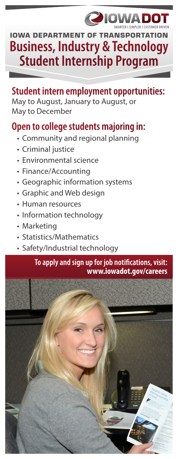### **210W** 71 D 10

# **Business, Industry & Technology Student Internship Program IOWA DEPARTMENT OF TRANSPORT**

### **Student intern employment opportunities:**

May to August, January to August, or May to December

## **Open to college students majoring in:**

- Community and regional planning
- Criminal justice
- Environmental science
- Finance/Accounting
- Geographic information systems
- Graphic and Web design
- Human resources
- Information technology
- Marketing
- Statistics/Mathematics
- Safety/Industrial technology

#### **To apply and sign up for job notifications, visit: www.iowadot.gov/careers**